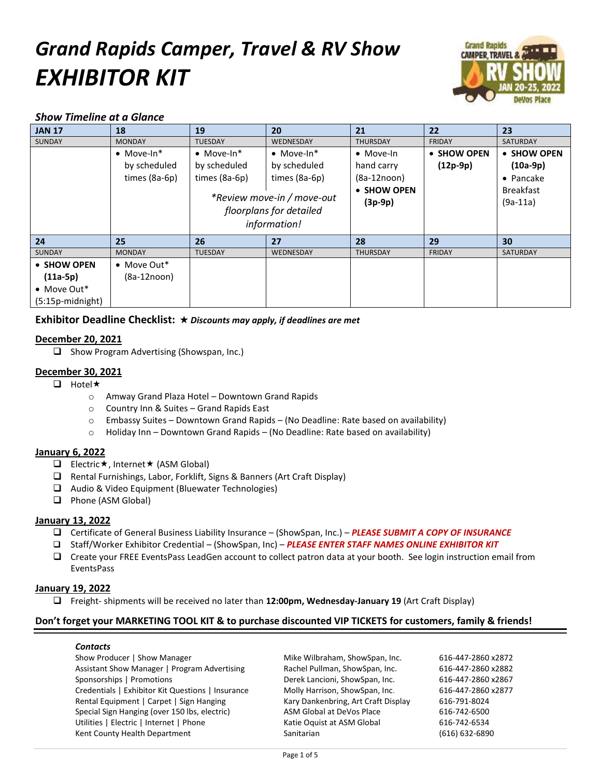# *Grand Rapids Camper, Travel & RV Show EXHIBITOR KIT*



# *Show Timeline at a Glance*

| <b>JAN 17</b>                              | 18                                                  | 19                                                    | 20                                                                                                                           | 21                                                                           | 22                        | 23                                                                               |
|--------------------------------------------|-----------------------------------------------------|-------------------------------------------------------|------------------------------------------------------------------------------------------------------------------------------|------------------------------------------------------------------------------|---------------------------|----------------------------------------------------------------------------------|
| <b>SUNDAY</b>                              | <b>MONDAY</b>                                       | <b>TUESDAY</b>                                        | WEDNESDAY                                                                                                                    | <b>THURSDAY</b>                                                              | <b>FRIDAY</b>             | <b>SATURDAY</b>                                                                  |
|                                            | $\bullet$ Move-In*<br>by scheduled<br>times (8a-6p) | $\bullet$ Move-In*<br>by scheduled<br>times $(8a-6p)$ | $\bullet$ Move-In*<br>by scheduled<br>times (8a-6p)<br>*Review move-in / move-out<br>floorplans for detailed<br>information! | $\bullet$ Move-In<br>hand carry<br>$(8a-12noon)$<br>• SHOW OPEN<br>$(3p-9p)$ | • SHOW OPEN<br>$(12p-9p)$ | • SHOW OPEN<br>$(10a-9p)$<br>$\bullet$ Pancake<br><b>Breakfast</b><br>$(9a-11a)$ |
| 24                                         | 25                                                  | 26                                                    | 27                                                                                                                           | 28                                                                           | 29                        | 30                                                                               |
| <b>SUNDAY</b>                              | <b>MONDAY</b>                                       | <b>TUESDAY</b>                                        | WEDNESDAY                                                                                                                    | <b>THURSDAY</b>                                                              | <b>FRIDAY</b>             | <b>SATURDAY</b>                                                                  |
| • SHOW OPEN<br>$(11a-5p)$                  | $\bullet$ Move Out*<br>$(8a-12noon)$                |                                                       |                                                                                                                              |                                                                              |                           |                                                                                  |
| $\bullet$ Move Out*<br>$(5:15p$ -midnight) |                                                     |                                                       |                                                                                                                              |                                                                              |                           |                                                                                  |

# **Exhibitor Deadline Checklist:**  *Discounts may apply, if deadlines are met*

# **December 20, 2021**

 $\Box$  Show Program Advertising (Showspan, Inc.)

### **December 30, 2021**

 $\Box$  Hotel  $\star$ 

- o Amway Grand Plaza Hotel Downtown Grand Rapids
- o Country Inn & Suites Grand Rapids East
- o Embassy Suites Downtown Grand Rapids (No Deadline: Rate based on availability)
- $\circ$  Holiday Inn Downtown Grand Rapids (No Deadline: Rate based on availability)

#### **January 6, 2022**

- **Electric \*, Internet \* (ASM Global)**
- Rental Furnishings, Labor, Forklift, Signs & Banners (Art Craft Display)
- Audio & Video Equipment (Bluewater Technologies)
- **Q** Phone (ASM Global)

#### **January 13, 2022**

- Certificate of General Business Liability Insurance (ShowSpan, Inc.) *PLEASE SUBMIT A COPY OF INSURANCE*
- Staff/Worker Exhibitor Credential (ShowSpan, Inc) *PLEASE ENTER STAFF NAMES ONLINE EXHIBITOR KIT*
- Create your FREE EventsPass LeadGen account to collect patron data at your booth. See login instruction email from EventsPass

# **January 19, 2022**

Freight- shipments will be received no later than **12:00pm, Wednesday-January 19** (Art Craft Display)

#### **Don't forget your MARKETING TOOL KIT & to purchase discounted VIP TICKETS for customers, family & friends!**

#### *Contacts*

Show Producer | Show Manager Mike Wilbraham, ShowSpan, Inc. 616-447-2860 x2872 Assistant Show Manager | Program Advertising Rachel Pullman, ShowSpan, Inc. 616-447-2860 x2882 Sponsorships | Promotions Derek Lancioni, ShowSpan, Inc. 616-447-2860 x2867 Credentials | Exhibitor Kit Questions | Insurance Molly Harrison, ShowSpan, Inc. 616-447-2860 x2877 Rental Equipment | Carpet | Sign Hanging Kary Dankenbring, Art Craft Display 616-791-8024 Special Sign Hanging (over 150 lbs, electric) ASM Global at DeVos Place 616-742-6500 Utilities | Electric | Internet | Phone Katie Oquist at ASM Global 616-742-6534 Kent County Health Department Sanitarian (616) 632-6890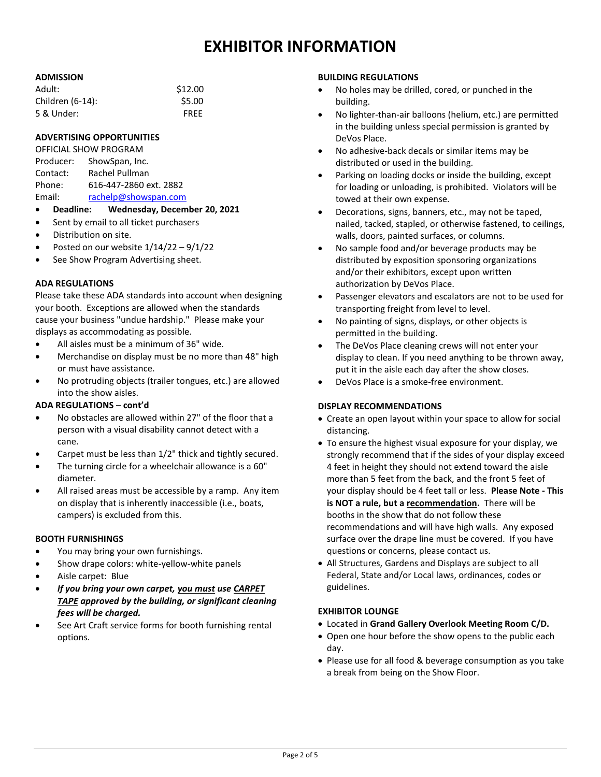# **EXHIBITOR INFORMATION**

#### **ADMISSION**

| Adult:           | \$12.00     |
|------------------|-------------|
| Children (6-14): | \$5.00      |
| 5 & Under:       | <b>FRFF</b> |

#### **ADVERTISING OPPORTUNITIES**

| OFFICIAL SHOW PROGRAM |                        |  |  |  |
|-----------------------|------------------------|--|--|--|
| Producer:             | ShowSpan, Inc.         |  |  |  |
| Contact:              | Rachel Pullman         |  |  |  |
| Phone:                | 616-447-2860 ext. 2882 |  |  |  |
| Email:                | rachelp@showspan.com   |  |  |  |

- **Deadline: Wednesday, December 20, 2021**
- Sent by email to all ticket purchasers
- Distribution on site.
- Posted on our website 1/14/22 9/1/22
- See Show Program Advertising sheet.

#### **ADA REGULATIONS**

Please take these ADA standards into account when designing your booth. Exceptions are allowed when the standards cause your business "undue hardship." Please make your displays as accommodating as possible.

- All aisles must be a minimum of 36" wide.
- Merchandise on display must be no more than 48" high or must have assistance.
- No protruding objects (trailer tongues, etc.) are allowed into the show aisles.

#### **ADA REGULATIONS** – **cont'd**

- No obstacles are allowed within 27" of the floor that a person with a visual disability cannot detect with a cane.
- Carpet must be less than 1/2" thick and tightly secured.
- The turning circle for a wheelchair allowance is a 60" diameter.
- All raised areas must be accessible by a ramp. Any item on display that is inherently inaccessible (i.e., boats, campers) is excluded from this.

#### **BOOTH FURNISHINGS**

- You may bring your own furnishings.
- Show drape colors: white-yellow-white panels
- Aisle carpet: Blue
- *If you bring your own carpet, you must use CARPET TAPE approved by the building, or significant cleaning fees will be charged.*
- See Art Craft service forms for booth furnishing rental options.

#### **BUILDING REGULATIONS**

- No holes may be drilled, cored, or punched in the building.
- No lighter-than-air balloons (helium, etc.) are permitted in the building unless special permission is granted by DeVos Place.
- No adhesive-back decals or similar items may be distributed or used in the building.
- Parking on loading docks or inside the building, except for loading or unloading, is prohibited. Violators will be towed at their own expense.
- Decorations, signs, banners, etc., may not be taped, nailed, tacked, stapled, or otherwise fastened, to ceilings, walls, doors, painted surfaces, or columns.
- No sample food and/or beverage products may be distributed by exposition sponsoring organizations and/or their exhibitors, except upon written authorization by DeVos Place.
- Passenger elevators and escalators are not to be used for transporting freight from level to level.
- No painting of signs, displays, or other objects is permitted in the building.
- The DeVos Place cleaning crews will not enter your display to clean. If you need anything to be thrown away, put it in the aisle each day after the show closes.
- DeVos Place is a smoke-free environment.

#### **DISPLAY RECOMMENDATIONS**

- Create an open layout within your space to allow for social distancing.
- To ensure the highest visual exposure for your display, we strongly recommend that if the sides of your display exceed 4 feet in height they should not extend toward the aisle more than 5 feet from the back, and the front 5 feet of your display should be 4 feet tall or less. **Please Note - This is NOT a rule, but a recommendation.** There will be booths in the show that do not follow these recommendations and will have high walls. Any exposed surface over the drape line must be covered. If you have questions or concerns, please contact us.
- All Structures, Gardens and Displays are subject to all Federal, State and/or Local laws, ordinances, codes or guidelines.

# **EXHIBITOR LOUNGE**

- Located in **Grand Gallery Overlook Meeting Room C/D.**
- Open one hour before the show opens to the public each day.
- Please use for all food & beverage consumption as you take a break from being on the Show Floor.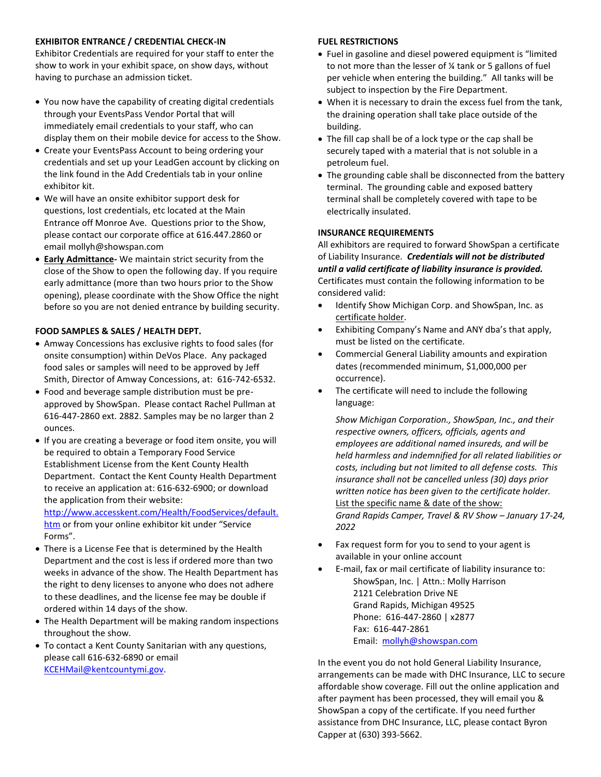#### **EXHIBITOR ENTRANCE / CREDENTIAL CHECK-IN**

Exhibitor Credentials are required for your staff to enter the show to work in your exhibit space, on show days, without having to purchase an admission ticket.

- You now have the capability of creating digital credentials through your EventsPass Vendor Portal that will immediately email credentials to your staff, who can display them on their mobile device for access to the Show.
- Create your EventsPass Account to being ordering your credentials and set up your LeadGen account by clicking on the link found in the Add Credentials tab in your online exhibitor kit.
- We will have an onsite exhibitor support desk for questions, lost credentials, etc located at the Main Entrance off Monroe Ave. Questions prior to the Show, please contact our corporate office at 616.447.2860 or email mollyh@showspan.com
- **Early Admittance-** We maintain strict security from the close of the Show to open the following day. If you require early admittance (more than two hours prior to the Show opening), please coordinate with the Show Office the night before so you are not denied entrance by building security.

#### **FOOD SAMPLES & SALES / HEALTH DEPT.**

- Amway Concessions has exclusive rights to food sales (for onsite consumption) within DeVos Place. Any packaged food sales or samples will need to be approved by Jeff Smith, Director of Amway Concessions, at: 616-742-6532.
- Food and beverage sample distribution must be preapproved by ShowSpan. Please contact Rachel Pullman at 616-447-2860 ext. 2882. Samples may be no larger than 2 ounces.
- If you are creating a beverage or food item onsite, you will be required to obtain a Temporary Food Service Establishment License from the Kent County Health Department. Contact the Kent County Health Department to receive an application at: 616-632-6900; or download the application from their website:

[http://www.accesskent.com/Health/FoodServices/default.](http://www.accesskent.com/Health/FoodServices/default.htm) [htm](http://www.accesskent.com/Health/FoodServices/default.htm) or from your online exhibitor kit under "Service Forms".

- There is a License Fee that is determined by the Health Department and the cost is less if ordered more than two weeks in advance of the show. The Health Department has the right to deny licenses to anyone who does not adhere to these deadlines, and the license fee may be double if ordered within 14 days of the show.
- The Health Department will be making random inspections throughout the show.
- To contact a Kent County Sanitarian with any questions, please call 616-632-6890 or email [KCEHMail@kentcountymi.gov.](mailto:KCEHMail@kentcountymi.gov)

#### **FUEL RESTRICTIONS**

- Fuel in gasoline and diesel powered equipment is "limited to not more than the lesser of ¼ tank or 5 gallons of fuel per vehicle when entering the building." All tanks will be subject to inspection by the Fire Department.
- When it is necessary to drain the excess fuel from the tank, the draining operation shall take place outside of the building.
- The fill cap shall be of a lock type or the cap shall be securely taped with a material that is not soluble in a petroleum fuel.
- The grounding cable shall be disconnected from the battery terminal. The grounding cable and exposed battery terminal shall be completely covered with tape to be electrically insulated.

#### **INSURANCE REQUIREMENTS**

All exhibitors are required to forward ShowSpan a certificate of Liability Insurance. *Credentials will not be distributed until a valid certificate of liability insurance is provided.* Certificates must contain the following information to be considered valid:

- Identify Show Michigan Corp. and ShowSpan, Inc. as certificate holder.
- Exhibiting Company's Name and ANY dba's that apply, must be listed on the certificate.
- Commercial General Liability amounts and expiration dates (recommended minimum, \$1,000,000 per occurrence).
- The certificate will need to include the following language:

*Show Michigan Corporation., ShowSpan, Inc., and their respective owners, officers, officials, agents and employees are additional named insureds, and will be held harmless and indemnified for all related liabilities or costs, including but not limited to all defense costs. This insurance shall not be cancelled unless (30) days prior written notice has been given to the certificate holder.* List the specific name & date of the show: *Grand Rapids Camper, Travel & RV Show – January 17-24, 2022*

- Fax request form for you to send to your agent is available in your online account
- E-mail, fax or mail certificate of liability insurance to: ShowSpan, Inc. | Attn.: Molly Harrison 2121 Celebration Drive NE Grand Rapids, Michigan 49525 Phone: 616-447-2860 | x2877 Fax: 616-447-2861 Email: [mollyh@showspan.com](mailto:MollyH@showspan.com)

In the event you do not hold General Liability Insurance, arrangements can be made with DHC Insurance, LLC to secure affordable show coverage. Fill out the online application and after payment has been processed, they will email you & ShowSpan a copy of the certificate. If you need further assistance from DHC Insurance, LLC, please contact Byron Capper at (630) 393-5662.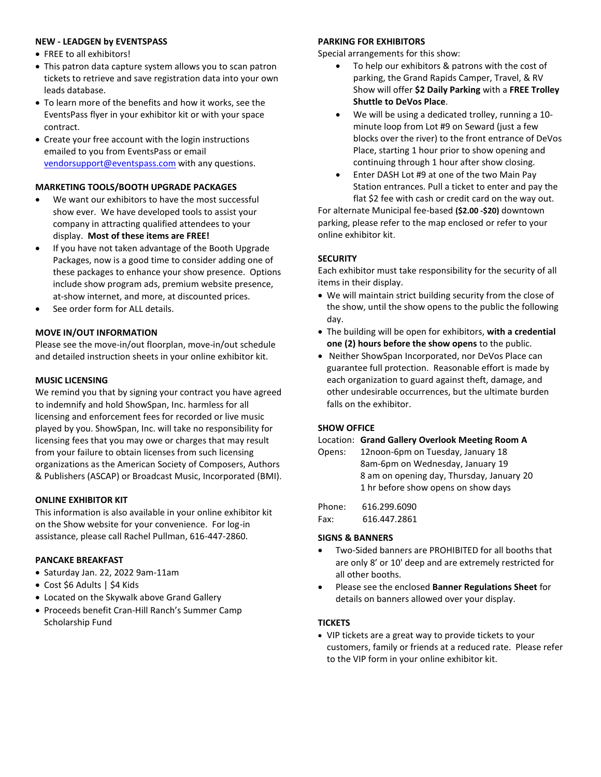#### **NEW - LEADGEN by EVENTSPASS**

- FREE to all exhibitors!
- This patron data capture system allows you to scan patron tickets to retrieve and save registration data into your own leads database.
- To learn more of the benefits and how it works, see the EventsPass flyer in your exhibitor kit or with your space contract.
- Create your free account with the login instructions emailed to you from EventsPass or email [vendorsupport@eventspass.com](mailto:vendorsupport@eventspass.com) with any questions.

#### **MARKETING TOOLS/BOOTH UPGRADE PACKAGES**

- We want our exhibitors to have the most successful show ever. We have developed tools to assist your company in attracting qualified attendees to your display. **Most of these items are FREE!**
- If you have not taken advantage of the Booth Upgrade Packages, now is a good time to consider adding one of these packages to enhance your show presence. Options include show program ads, premium website presence, at-show internet, and more, at discounted prices.
- See order form for ALL details.

# **MOVE IN/OUT INFORMATION**

Please see the move-in/out floorplan, move-in/out schedule and detailed instruction sheets in your online exhibitor kit.

#### **MUSIC LICENSING**

We remind you that by signing your contract you have agreed to indemnify and hold ShowSpan, Inc. harmless for all licensing and enforcement fees for recorded or live music played by you. ShowSpan, Inc. will take no responsibility for licensing fees that you may owe or charges that may result from your failure to obtain licenses from such licensing organizations as the American Society of Composers, Authors & Publishers (ASCAP) or Broadcast Music, Incorporated (BMI).

#### **ONLINE EXHIBITOR KIT**

This information is also available in your online exhibitor kit on the Show website for your convenience. For log-in assistance, please call Rachel Pullman, 616-447-2860.

#### **PANCAKE BREAKFAST**

- $\bullet$  Saturday Jan. 22, 2022 9am-11am
- Cost \$6 Adults | \$4 Kids
- Located on the Skywalk above Grand Gallery
- Proceeds benefit Cran-Hill Ranch's Summer Camp Scholarship Fund

## **PARKING FOR EXHIBITORS**

Special arrangements for this show:

- To help our exhibitors & patrons with the cost of parking, the Grand Rapids Camper, Travel, & RV Show will offer **\$2 Daily Parking** with a **FREE Trolley Shuttle to DeVos Place**.
- We will be using a dedicated trolley, running a 10 minute loop from Lot #9 on Seward (just a few blocks over the river) to the front entrance of DeVos Place, starting 1 hour prior to show opening and continuing through 1 hour after show closing.
- Enter DASH Lot #9 at one of the two Main Pay Station entrances. Pull a ticket to enter and pay the flat \$2 fee with cash or credit card on the way out.

For alternate Municipal fee-based **(\$2.00 -\$20)** downtown parking, please refer to the map enclosed or refer to your online exhibitor kit.

# **SECURITY**

Each exhibitor must take responsibility for the security of all items in their display.

- We will maintain strict building security from the close of the show, until the show opens to the public the following day.
- The building will be open for exhibitors, **with a credential one (2) hours before the show opens** to the public.
- Neither ShowSpan Incorporated, nor DeVos Place can guarantee full protection. Reasonable effort is made by each organization to guard against theft, damage, and other undesirable occurrences, but the ultimate burden falls on the exhibitor.

#### **SHOW OFFICE**

#### Location: **Grand Gallery Overlook Meeting Room A**

| Opens: | 12noon-6pm on Tuesday, January 18         |
|--------|-------------------------------------------|
|        | 8am-6pm on Wednesday, January 19          |
|        | 8 am on opening day, Thursday, January 20 |
|        | 1 hr before show opens on show days       |
|        |                                           |

Phone: 616.299.6090 Fax: 616.447.2861

#### **SIGNS & BANNERS**

- Two-Sided banners are PROHIBITED for all booths that are only 8' or 10' deep and are extremely restricted for all other booths.
- Please see the enclosed **Banner Regulations Sheet** for details on banners allowed over your display.

#### **TICKETS**

 VIP tickets are a great way to provide tickets to your customers, family or friends at a reduced rate. Please refer to the VIP form in your online exhibitor kit.